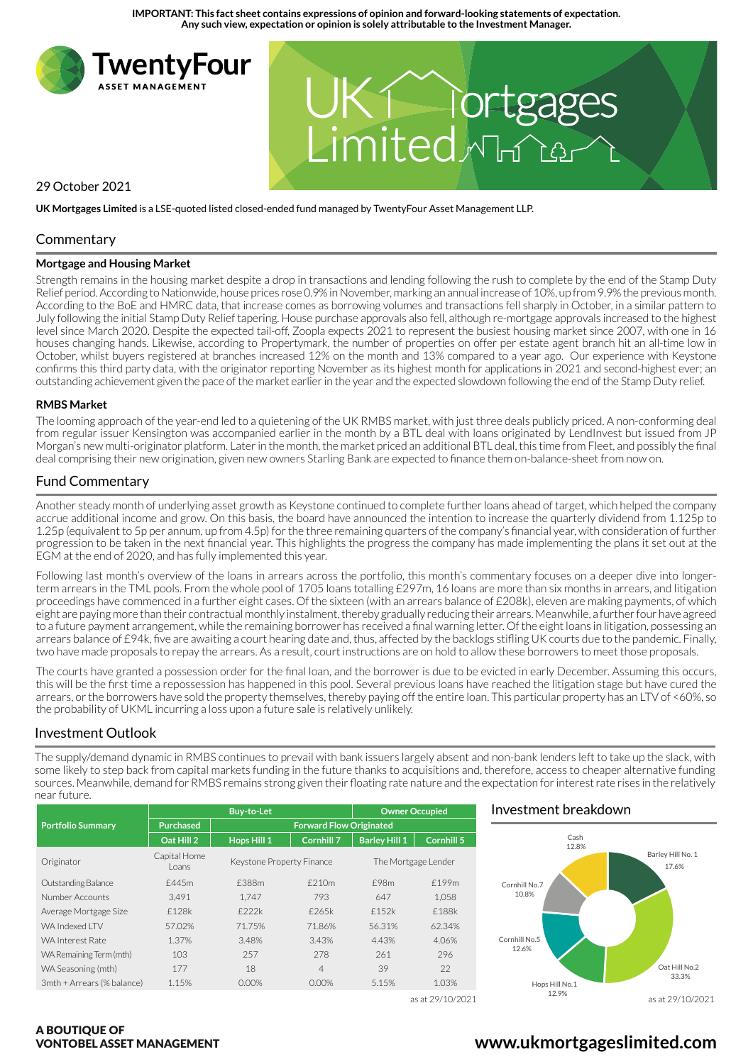**IMPORTANT: This fact sheet contains expressions of opinion and forward-looking statements of expectation. Any such view, expectation or opinion is solely attributable to the Investment Manager.**



**UK Mortgages Limited** is a LSE-quoted listed closed-ended fund managed by TwentyFour Asset Management LLP.

## **Commentary**

#### **Mortgage and Housing Market**

Strength remains in the housing market despite a drop in transactions and lending following the rush to complete by the end of the Stamp Duty Relief period. According to Nationwide, house prices rose 0.9% in November, marking an annual increase of 10%, up from 9.9% the previous month. According to the BoE and HMRC data, that increase comes as borrowing volumes and transactions fell sharply in October, in a similar pattern to July following the initial Stamp Duty Relief tapering. House purchase approvals also fell, although re-mortgage approvals increased to the highest level since March 2020. Despite the expected tail-off, Zoopla expects 2021 to represent the busiest housing market since 2007, with one in 16 houses changing hands. Likewise, according to Propertymark, the number of properties on offer per estate agent branch hit an all-time low in October, whilst buyers registered at branches increased 12% on the month and 13% compared to a year ago. Our experience with Keystone confirms this third party data, with the originator reporting November as its highest month for applications in 2021 and second-highest ever; an outstanding achievement given the pace of the market earlier in the year and the expected slowdown following the end of the Stamp Duty relief.

#### **RMBS Market**

The looming approach of the year-end led to a quietening of the UK RMBS market, with just three deals publicly priced. A non-conforming deal from regular issuer Kensington was accompanied earlier in the month by a BTL deal with loans originated by LendInvest but issued from JP Morgan's new multi-originator platform. Later in the month, the market priced an additional BTL deal, this time from Fleet, and possibly the final deal comprising their new origination, given new owners Starling Bank are expected to finance them on-balance-sheet from now on.

## Fund Commentary

Another steady month of underlying asset growth as Keystone continued to complete further loans ahead of target, which helped the company accrue additional income and grow. On this basis, the board have announced the intention to increase the quarterly dividend from 1.125p to 1.25p (equivalent to 5p per annum, up from 4.5p) for the three remaining quarters of the company's financial year, with consideration of further progression to be taken in the next financial year. This highlights the progress the company has made implementing the plans it set out at the EGM at the end of 2020, and has fully implemented this year.

Following last month's overview of the loans in arrears across the portfolio, this month's commentary focuses on a deeper dive into longerterm arrears in the TML pools. From the whole pool of 1705 loans totalling £297m, 16 loans are more than six months in arrears, and litigation proceedings have commenced in a further eight cases. Of the sixteen (with an arrears balance of £208k), eleven are making payments, of which eight are paying more than their contractual monthly instalment, thereby gradually reducing their arrears. Meanwhile, a further four have agreed to a future payment arrangement, while the remaining borrower has received a final warning letter. Of the eight loans in litigation, possessing an arrears balance of £94k, five are awaiting a court hearing date and, thus, affected by the backlogs stifling UK courts due to the pandemic. Finally, two have made proposals to repay the arrears. As a result, court instructions are on hold to allow these borrowers to meet those proposals.

The courts have granted a possession order for the final loan, and the borrower is due to be evicted in early December. Assuming this occurs, this will be the first time a repossession has happened in this pool. Several previous loans have reached the litigation stage but have cured the arrears, or the borrowers have sold the property themselves, thereby paying off the entire loan. This particular property has an LTV of <60%, so the probability of UKML incurring a loss upon a future sale is relatively unlikely.

## Investment Outlook

The supply/demand dynamic in RMBS continues to prevail with bank issuers largely absent and non-bank lenders left to take up the slack, with some likely to step back from capital markets funding in the future thanks to acquisitions and, therefore, access to cheaper alternative funding sources. Meanwhile, demand for RMBS remains strong given their floating rate nature and the expectation for interest rate rises in the relatively near future.

|                            | <b>Buy-to-Let</b>     |                                |                   | <b>Owner Occupied</b> |                   |
|----------------------------|-----------------------|--------------------------------|-------------------|-----------------------|-------------------|
| <b>Portfolio Summary</b>   | <b>Purchased</b>      | <b>Forward Flow Originated</b> |                   |                       |                   |
|                            | Oat Hill 2            | Hops Hill 1                    | <b>Cornhill 7</b> | <b>Barley Hill 1</b>  | <b>Cornhill 5</b> |
| Originator                 | Capital Home<br>Loans | Keystone Property Finance      |                   | The Mortgage Lender   |                   |
| Outstanding Balance        | £445m                 | £388m                          | £210m             | £98m                  | £199m             |
| Number Accounts            | 3.491                 | 1.747                          | 793               | 647                   | 1.058             |
| Average Mortgage Size      | £128k                 | f222k                          | £265k             | f152k                 | £188k             |
| WA Indexed I TV            | 57.02%                | 71.75%                         | 71.86%            | 56.31%                | 62.34%            |
| <b>WA Interest Rate</b>    | 1.37%                 | 3.48%                          | 3.43%             | 4.43%                 | 4.06%             |
| WA Remaining Term (mth)    | 103                   | 257                            | 278               | 261                   | 296               |
| WA Seasoning (mth)         | 177                   | 18                             | $\overline{4}$    | 39                    | 22                |
| 3mth + Arrears (% balance) | 1.15%                 | 0.00%                          | 0.00%             | 5.15%                 | 1.03%             |
|                            |                       |                                |                   |                       | as at 29/10/2021  |

## Investment breakdown



A BOUTIQUE OF VONTOBEL ASSET MANAGEMENT

# **www.ukmortgageslimited.com**